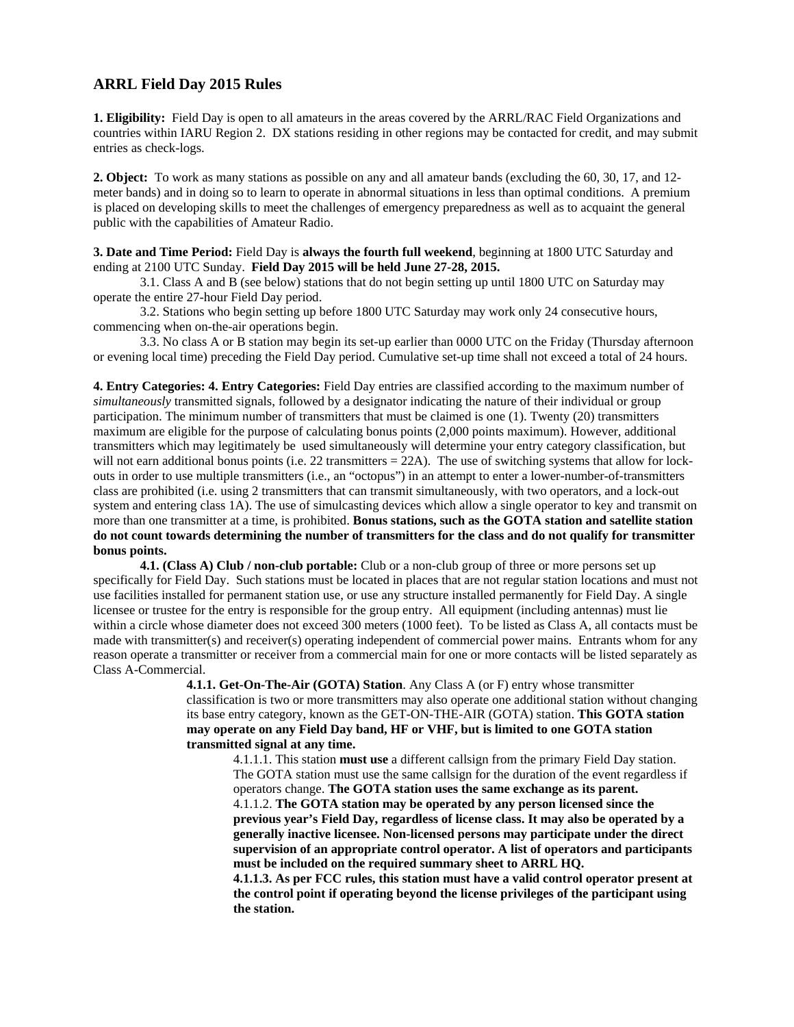# **ARRL Field Day 2015 Rules**

**1. Eligibility:** Field Day is open to all amateurs in the areas covered by the ARRL/RAC Field Organizations and countries within IARU Region 2. DX stations residing in other regions may be contacted for credit, and may submit entries as check-logs.

**2. Object:** To work as many stations as possible on any and all amateur bands (excluding the 60, 30, 17, and 12 meter bands) and in doing so to learn to operate in abnormal situations in less than optimal conditions. A premium is placed on developing skills to meet the challenges of emergency preparedness as well as to acquaint the general public with the capabilities of Amateur Radio.

## **3. Date and Time Period:** Field Day is **always the fourth full weekend**, beginning at 1800 UTC Saturday and ending at 2100 UTC Sunday. **Field Day 2015 will be held June 27-28, 2015.**

 3.1. Class A and B (see below) stations that do not begin setting up until 1800 UTC on Saturday may operate the entire 27-hour Field Day period.

 3.2. Stations who begin setting up before 1800 UTC Saturday may work only 24 consecutive hours, commencing when on-the-air operations begin.

 3.3. No class A or B station may begin its set-up earlier than 0000 UTC on the Friday (Thursday afternoon or evening local time) preceding the Field Day period. Cumulative set-up time shall not exceed a total of 24 hours.

**4. Entry Categories: 4. Entry Categories:** Field Day entries are classified according to the maximum number of *simultaneously* transmitted signals, followed by a designator indicating the nature of their individual or group participation. The minimum number of transmitters that must be claimed is one (1). Twenty (20) transmitters maximum are eligible for the purpose of calculating bonus points (2,000 points maximum). However, additional transmitters which may legitimately be used simultaneously will determine your entry category classification, but will not earn additional bonus points (i.e. 22 transmitters  $= 22A$ ). The use of switching systems that allow for lockouts in order to use multiple transmitters (i.e., an "octopus") in an attempt to enter a lower-number-of-transmitters class are prohibited (i.e. using 2 transmitters that can transmit simultaneously, with two operators, and a lock-out system and entering class 1A). The use of simulcasting devices which allow a single operator to key and transmit on more than one transmitter at a time, is prohibited. **Bonus stations, such as the GOTA station and satellite station do not count towards determining the number of transmitters for the class and do not qualify for transmitter bonus points.** 

**4.1. (Class A) Club / non-club portable:** Club or a non-club group of three or more persons set up specifically for Field Day. Such stations must be located in places that are not regular station locations and must not use facilities installed for permanent station use, or use any structure installed permanently for Field Day. A single licensee or trustee for the entry is responsible for the group entry. All equipment (including antennas) must lie within a circle whose diameter does not exceed 300 meters (1000 feet). To be listed as Class A, all contacts must be made with transmitter(s) and receiver(s) operating independent of commercial power mains. Entrants whom for any reason operate a transmitter or receiver from a commercial main for one or more contacts will be listed separately as Class A-Commercial.

**4.1.1. Get-On-The-Air (GOTA) Station**. Any Class A (or F) entry whose transmitter classification is two or more transmitters may also operate one additional station without changing its base entry category, known as the GET-ON-THE-AIR (GOTA) station. **This GOTA station may operate on any Field Day band, HF or VHF, but is limited to one GOTA station transmitted signal at any time.** 

4.1.1.1. This station **must use** a different callsign from the primary Field Day station. The GOTA station must use the same callsign for the duration of the event regardless if operators change. **The GOTA station uses the same exchange as its parent.**  4.1.1.2. **The GOTA station may be operated by any person licensed since the previous year's Field Day, regardless of license class. It may also be operated by a generally inactive licensee. Non-licensed persons may participate under the direct supervision of an appropriate control operator. A list of operators and participants must be included on the required summary sheet to ARRL HQ. 4.1.1.3. As per FCC rules, this station must have a valid control operator present at the control point if operating beyond the license privileges of the participant using** 

**the station.**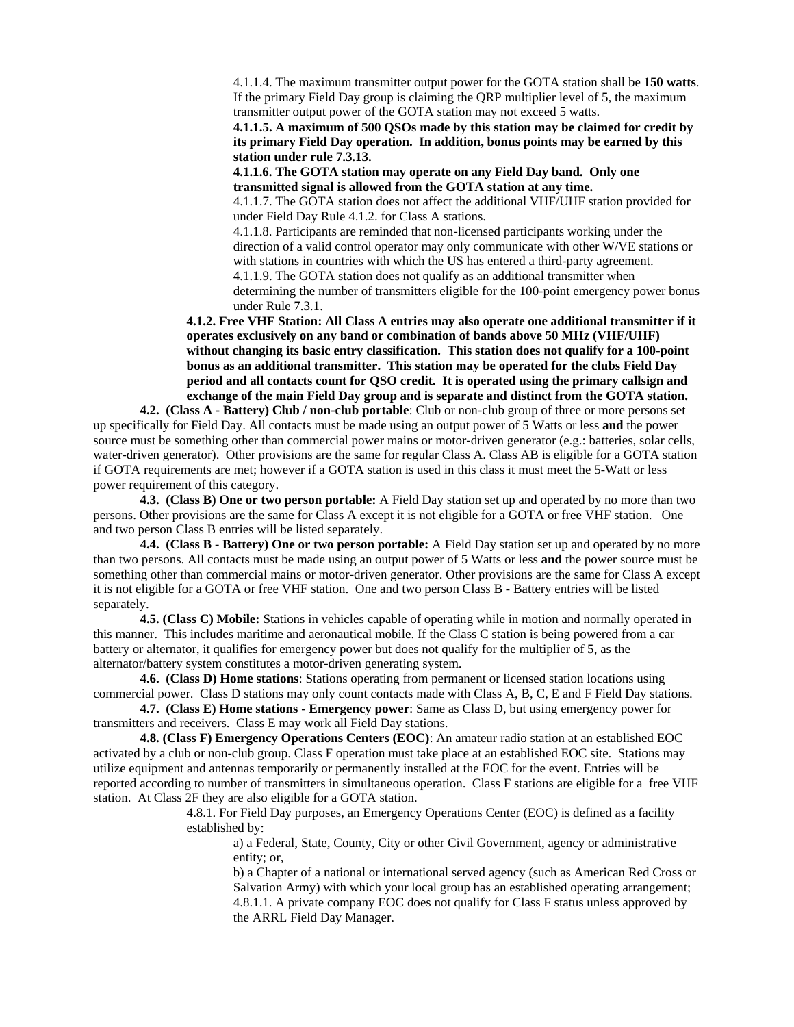4.1.1.4. The maximum transmitter output power for the GOTA station shall be **150 watts**. If the primary Field Day group is claiming the QRP multiplier level of 5, the maximum transmitter output power of the GOTA station may not exceed 5 watts.

**4.1.1.5. A maximum of 500 QSOs made by this station may be claimed for credit by its primary Field Day operation. In addition, bonus points may be earned by this station under rule 7.3.13.** 

**4.1.1.6. The GOTA station may operate on any Field Day band. Only one transmitted signal is allowed from the GOTA station at any time.** 

4.1.1.7. The GOTA station does not affect the additional VHF/UHF station provided for under Field Day Rule 4.1.2. for Class A stations.

4.1.1.8. Participants are reminded that non-licensed participants working under the direction of a valid control operator may only communicate with other W/VE stations or with stations in countries with which the US has entered a third-party agreement. 4.1.1.9. The GOTA station does not qualify as an additional transmitter when determining the number of transmitters eligible for the 100-point emergency power bonus

under Rule 7.3.1.

**4.1.2. Free VHF Station: All Class A entries may also operate one additional transmitter if it operates exclusively on any band or combination of bands above 50 MHz (VHF/UHF) without changing its basic entry classification. This station does not qualify for a 100-point bonus as an additional transmitter. This station may be operated for the clubs Field Day period and all contacts count for QSO credit. It is operated using the primary callsign and exchange of the main Field Day group and is separate and distinct from the GOTA station.** 

**4.2. (Class A - Battery) Club / non-club portable**: Club or non-club group of three or more persons set up specifically for Field Day. All contacts must be made using an output power of 5 Watts or less **and** the power source must be something other than commercial power mains or motor-driven generator (e.g.: batteries, solar cells, water-driven generator). Other provisions are the same for regular Class A. Class AB is eligible for a GOTA station if GOTA requirements are met; however if a GOTA station is used in this class it must meet the 5-Watt or less power requirement of this category.

**4.3. (Class B) One or two person portable:** A Field Day station set up and operated by no more than two persons. Other provisions are the same for Class A except it is not eligible for a GOTA or free VHF station. One and two person Class B entries will be listed separately.

**4.4. (Class B - Battery) One or two person portable:** A Field Day station set up and operated by no more than two persons. All contacts must be made using an output power of 5 Watts or less **and** the power source must be something other than commercial mains or motor-driven generator. Other provisions are the same for Class A except it is not eligible for a GOTA or free VHF station. One and two person Class B - Battery entries will be listed separately.

**4.5. (Class C) Mobile:** Stations in vehicles capable of operating while in motion and normally operated in this manner. This includes maritime and aeronautical mobile. If the Class C station is being powered from a car battery or alternator, it qualifies for emergency power but does not qualify for the multiplier of 5, as the alternator/battery system constitutes a motor-driven generating system.

**4.6. (Class D) Home stations**: Stations operating from permanent or licensed station locations using commercial power. Class D stations may only count contacts made with Class A, B, C, E and F Field Day stations.

**4.7. (Class E) Home stations - Emergency power**: Same as Class D, but using emergency power for transmitters and receivers. Class E may work all Field Day stations.

**4.8. (Class F) Emergency Operations Centers (EOC)**: An amateur radio station at an established EOC activated by a club or non-club group. Class F operation must take place at an established EOC site. Stations may utilize equipment and antennas temporarily or permanently installed at the EOC for the event. Entries will be reported according to number of transmitters in simultaneous operation. Class F stations are eligible for a free VHF station. At Class 2F they are also eligible for a GOTA station.

> 4.8.1. For Field Day purposes, an Emergency Operations Center (EOC) is defined as a facility established by:

a) a Federal, State, County, City or other Civil Government, agency or administrative entity; or,

b) a Chapter of a national or international served agency (such as American Red Cross or Salvation Army) with which your local group has an established operating arrangement; 4.8.1.1. A private company EOC does not qualify for Class F status unless approved by the ARRL Field Day Manager.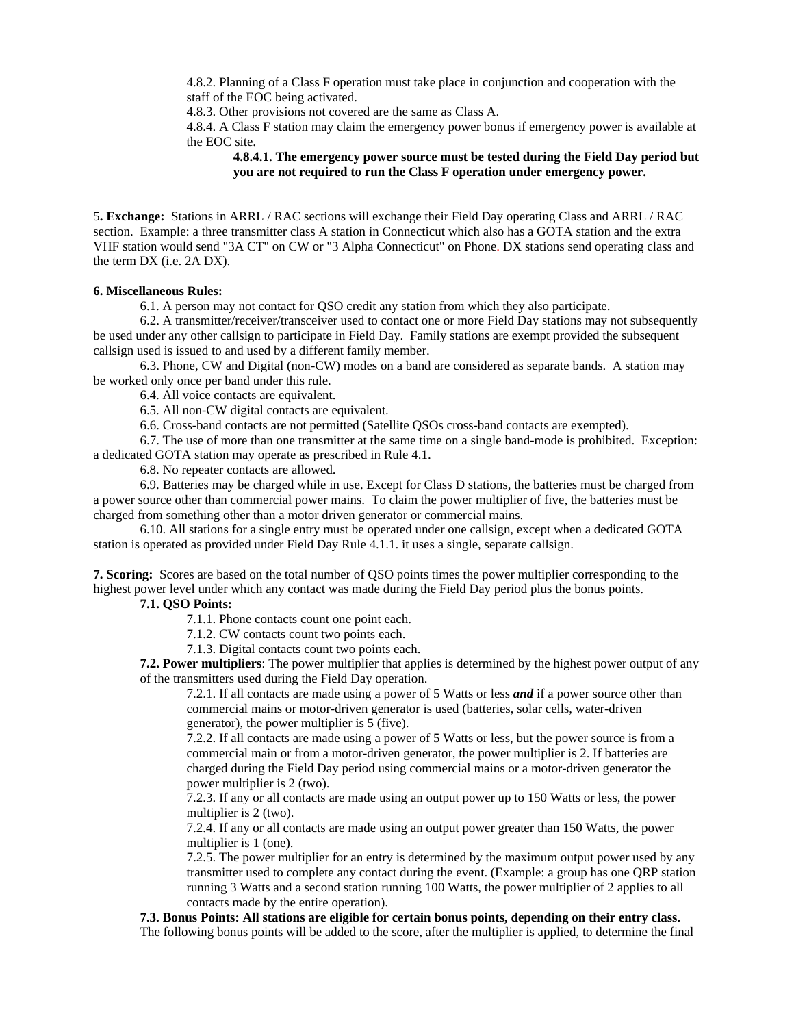4.8.2. Planning of a Class F operation must take place in conjunction and cooperation with the staff of the EOC being activated.

4.8.3. Other provisions not covered are the same as Class A.

4.8.4. A Class F station may claim the emergency power bonus if emergency power is available at the EOC site.

**4.8.4.1. The emergency power source must be tested during the Field Day period but you are not required to run the Class F operation under emergency power.** 

5**. Exchange:** Stations in ARRL / RAC sections will exchange their Field Day operating Class and ARRL / RAC section. Example: a three transmitter class A station in Connecticut which also has a GOTA station and the extra VHF station would send "3A CT" on CW or "3 Alpha Connecticut" on Phone. DX stations send operating class and the term DX (i.e. 2A DX).

## **6. Miscellaneous Rules:**

6.1. A person may not contact for QSO credit any station from which they also participate.

 6.2. A transmitter/receiver/transceiver used to contact one or more Field Day stations may not subsequently be used under any other callsign to participate in Field Day. Family stations are exempt provided the subsequent callsign used is issued to and used by a different family member.

 6.3. Phone, CW and Digital (non-CW) modes on a band are considered as separate bands. A station may be worked only once per band under this rule.

6.4. All voice contacts are equivalent.

6.5. All non-CW digital contacts are equivalent.

6.6. Cross-band contacts are not permitted (Satellite QSOs cross-band contacts are exempted).

 6.7. The use of more than one transmitter at the same time on a single band-mode is prohibited. Exception: a dedicated GOTA station may operate as prescribed in Rule 4.1.

6.8. No repeater contacts are allowed.

 6.9. Batteries may be charged while in use. Except for Class D stations, the batteries must be charged from a power source other than commercial power mains. To claim the power multiplier of five, the batteries must be charged from something other than a motor driven generator or commercial mains.

 6.10. All stations for a single entry must be operated under one callsign, except when a dedicated GOTA station is operated as provided under Field Day Rule 4.1.1. it uses a single, separate callsign.

**7. Scoring:** Scores are based on the total number of QSO points times the power multiplier corresponding to the highest power level under which any contact was made during the Field Day period plus the bonus points.

## **7.1. QSO Points:**

7.1.1. Phone contacts count one point each.

7.1.2. CW contacts count two points each.

7.1.3. Digital contacts count two points each.

**7.2. Power multipliers**: The power multiplier that applies is determined by the highest power output of any of the transmitters used during the Field Day operation.

7.2.1. If all contacts are made using a power of 5 Watts or less *and* if a power source other than commercial mains or motor-driven generator is used (batteries, solar cells, water-driven generator), the power multiplier is 5 (five).

7.2.2. If all contacts are made using a power of 5 Watts or less, but the power source is from a commercial main or from a motor-driven generator, the power multiplier is 2. If batteries are charged during the Field Day period using commercial mains or a motor-driven generator the power multiplier is 2 (two).

7.2.3. If any or all contacts are made using an output power up to 150 Watts or less, the power multiplier is 2 (two).

7.2.4. If any or all contacts are made using an output power greater than 150 Watts, the power multiplier is 1 (one).

7.2.5. The power multiplier for an entry is determined by the maximum output power used by any transmitter used to complete any contact during the event. (Example: a group has one QRP station running 3 Watts and a second station running 100 Watts, the power multiplier of 2 applies to all contacts made by the entire operation).

**7.3. Bonus Points: All stations are eligible for certain bonus points, depending on their entry class.** The following bonus points will be added to the score, after the multiplier is applied, to determine the final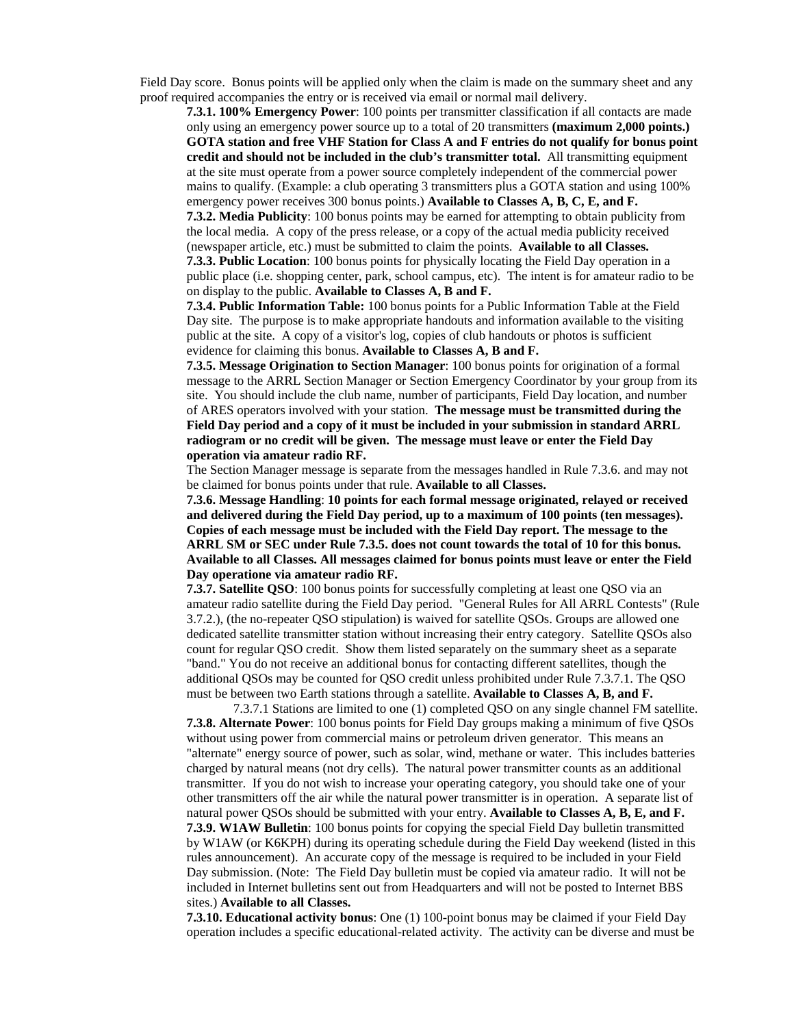Field Day score. Bonus points will be applied only when the claim is made on the summary sheet and any proof required accompanies the entry or is received via email or normal mail delivery.

**7.3.1. 100% Emergency Power**: 100 points per transmitter classification if all contacts are made only using an emergency power source up to a total of 20 transmitters **(maximum 2,000 points.) GOTA station and free VHF Station for Class A and F entries do not qualify for bonus point credit and should not be included in the club's transmitter total.** All transmitting equipment at the site must operate from a power source completely independent of the commercial power mains to qualify. (Example: a club operating 3 transmitters plus a GOTA station and using 100% emergency power receives 300 bonus points.) **Available to Classes A, B, C, E, and F.** 

**7.3.2. Media Publicity**: 100 bonus points may be earned for attempting to obtain publicity from the local media. A copy of the press release, or a copy of the actual media publicity received (newspaper article, etc.) must be submitted to claim the points. **Available to all Classes.** 

**7.3.3. Public Location**: 100 bonus points for physically locating the Field Day operation in a public place (i.e. shopping center, park, school campus, etc). The intent is for amateur radio to be on display to the public. **Available to Classes A, B and F.** 

**7.3.4. Public Information Table:** 100 bonus points for a Public Information Table at the Field Day site. The purpose is to make appropriate handouts and information available to the visiting public at the site. A copy of a visitor's log, copies of club handouts or photos is sufficient evidence for claiming this bonus. **Available to Classes A, B and F.** 

**7.3.5. Message Origination to Section Manager**: 100 bonus points for origination of a formal message to the ARRL Section Manager or Section Emergency Coordinator by your group from its site. You should include the club name, number of participants, Field Day location, and number of ARES operators involved with your station. **The message must be transmitted during the Field Day period and a copy of it must be included in your submission in standard ARRL radiogram or no credit will be given. The message must leave or enter the Field Day operation via amateur radio RF.** 

The Section Manager message is separate from the messages handled in Rule 7.3.6. and may not be claimed for bonus points under that rule. **Available to all Classes.** 

**7.3.6. Message Handling**: **10 points for each formal message originated, relayed or received and delivered during the Field Day period, up to a maximum of 100 points (ten messages). Copies of each message must be included with the Field Day report. The message to the ARRL SM or SEC under Rule 7.3.5. does not count towards the total of 10 for this bonus. Available to all Classes. All messages claimed for bonus points must leave or enter the Field Day operatione via amateur radio RF.** 

**7.3.7. Satellite QSO**: 100 bonus points for successfully completing at least one QSO via an amateur radio satellite during the Field Day period. "General Rules for All ARRL Contests" (Rule 3.7.2.), (the no-repeater QSO stipulation) is waived for satellite QSOs. Groups are allowed one dedicated satellite transmitter station without increasing their entry category. Satellite QSOs also count for regular QSO credit. Show them listed separately on the summary sheet as a separate "band." You do not receive an additional bonus for contacting different satellites, though the additional QSOs may be counted for QSO credit unless prohibited under Rule 7.3.7.1. The QSO must be between two Earth stations through a satellite. **Available to Classes A, B, and F.** 

7.3.7.1 Stations are limited to one (1) completed QSO on any single channel FM satellite. **7.3.8. Alternate Power**: 100 bonus points for Field Day groups making a minimum of five QSOs without using power from commercial mains or petroleum driven generator. This means an "alternate" energy source of power, such as solar, wind, methane or water. This includes batteries charged by natural means (not dry cells). The natural power transmitter counts as an additional transmitter. If you do not wish to increase your operating category, you should take one of your other transmitters off the air while the natural power transmitter is in operation. A separate list of natural power QSOs should be submitted with your entry. **Available to Classes A, B, E, and F. 7.3.9. W1AW Bulletin**: 100 bonus points for copying the special Field Day bulletin transmitted by W1AW (or K6KPH) during its operating schedule during the Field Day weekend (listed in this rules announcement). An accurate copy of the message is required to be included in your Field Day submission. (Note: The Field Day bulletin must be copied via amateur radio. It will not be included in Internet bulletins sent out from Headquarters and will not be posted to Internet BBS sites.) **Available to all Classes.**

**7.3.10. Educational activity bonus**: One (1) 100-point bonus may be claimed if your Field Day operation includes a specific educational-related activity. The activity can be diverse and must be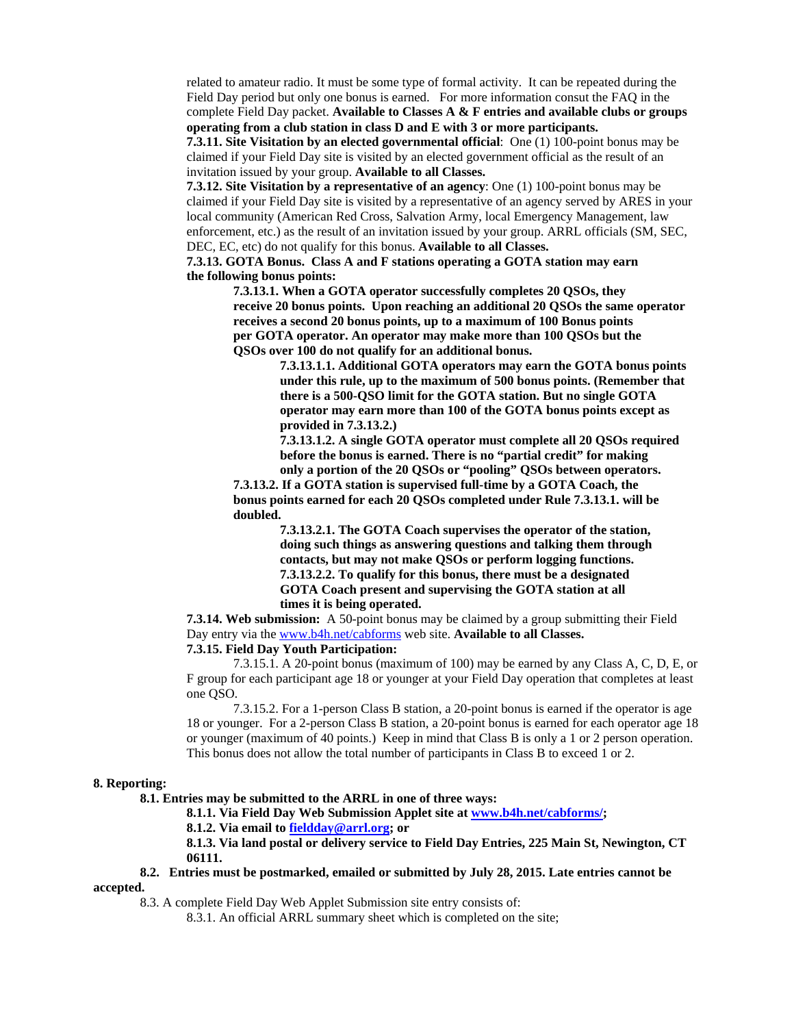related to amateur radio. It must be some type of formal activity. It can be repeated during the Field Day period but only one bonus is earned. For more information consut the FAQ in the complete Field Day packet. **Available to Classes A & F entries and available clubs or groups operating from a club station in class D and E with 3 or more participants.**

**7.3.11. Site Visitation by an elected governmental official**: One (1) 100-point bonus may be claimed if your Field Day site is visited by an elected government official as the result of an invitation issued by your group. **Available to all Classes.**

**7.3.12. Site Visitation by a representative of an agency**: One (1) 100-point bonus may be claimed if your Field Day site is visited by a representative of an agency served by ARES in your local community (American Red Cross, Salvation Army, local Emergency Management, law enforcement, etc.) as the result of an invitation issued by your group. ARRL officials (SM, SEC, DEC, EC, etc) do not qualify for this bonus. **Available to all Classes.** 

 **7.3.13. GOTA Bonus. Class A and F stations operating a GOTA station may earn the following bonus points:** 

 **7.3.13.1. When a GOTA operator successfully completes 20 QSOs, they receive 20 bonus points. Upon reaching an additional 20 QSOs the same operator receives a second 20 bonus points, up to a maximum of 100 Bonus points per GOTA operator. An operator may make more than 100 QSOs but the QSOs over 100 do not qualify for an additional bonus.** 

> **7.3.13.1.1. Additional GOTA operators may earn the GOTA bonus points under this rule, up to the maximum of 500 bonus points. (Remember that there is a 500-QSO limit for the GOTA station. But no single GOTA operator may earn more than 100 of the GOTA bonus points except as provided in 7.3.13.2.)**

 **7.3.13.1.2. A single GOTA operator must complete all 20 QSOs required before the bonus is earned. There is no "partial credit" for making only a portion of the 20 QSOs or "pooling" QSOs between operators.** 

 **7.3.13.2. If a GOTA station is supervised full-time by a GOTA Coach, the bonus points earned for each 20 QSOs completed under Rule 7.3.13.1. will be doubled.** 

> **7.3.13.2.1. The GOTA Coach supervises the operator of the station, doing such things as answering questions and talking them through contacts, but may not make QSOs or perform logging functions. 7.3.13.2.2. To qualify for this bonus, there must be a designated GOTA Coach present and supervising the GOTA station at all times it is being operated.**

**7.3.14. Web submission:** A 50-point bonus may be claimed by a group submitting their Field Day entry via the www.b4h.net/cabforms web site. **Available to all Classes.**

# **7.3.15. Field Day Youth Participation:**

7.3.15.1. A 20-point bonus (maximum of 100) may be earned by any Class A, C, D, E, or F group for each participant age 18 or younger at your Field Day operation that completes at least one QSO.

 7.3.15.2. For a 1-person Class B station, a 20-point bonus is earned if the operator is age 18 or younger. For a 2-person Class B station, a 20-point bonus is earned for each operator age 18 or younger (maximum of 40 points.) Keep in mind that Class B is only a 1 or 2 person operation. This bonus does not allow the total number of participants in Class B to exceed 1 or 2.

#### **8. Reporting:**

 **8.1. Entries may be submitted to the ARRL in one of three ways:** 

 **8.1.1. Via Field Day Web Submission Applet site at www.b4h.net/cabforms/;** 

 **8.1.2. Via email to fieldday@arrl.org; or** 

**8.1.3. Via land postal or delivery service to Field Day Entries, 225 Main St, Newington, CT 06111.** 

### **8.2. Entries must be postmarked, emailed or submitted by July 28, 2015. Late entries cannot be accepted.**

8.3. A complete Field Day Web Applet Submission site entry consists of:

8.3.1. An official ARRL summary sheet which is completed on the site;